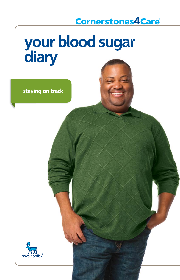# **Cornerstones4Care®**

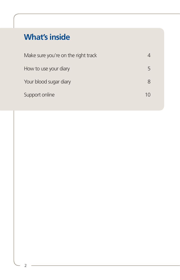# **What's inside**

| Make sure you're on the right track | 4  |
|-------------------------------------|----|
| How to use your diary               | 5  |
| Your blood sugar diary              | 8  |
| Support online                      | 10 |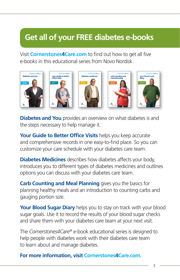# **Get all of your FREE diabetes e-books**

Visit **Cornerstones4Care.com** to find out how to get all five e-books in this educational series from Novo Nordisk.



**Diabetes and You** provides an overview on what diabetes is and the steps necessary to help manage it.

**Your Guide to Better Office Visits** helps you keep accurate and comprehensive records in one easy-to-find place. So you can customize your care schedule with your diabetes care team.

**Diabetes Medicines** describes how diabetes affects your body, introduces you to different types of diabetes medicines and outlines options you can discuss with your diabetes care team.

**Carb Counting and Meal Planning** gives you the basics for planning healthy meals and an introduction to counting carbs and gauging portion size.

**Your Blood Sugar Diary** helps you to stay on track with your blood sugar goals. Use it to record the results of your blood sugar checks and share them with your diabetes care team at your next visit.

The *Cornerstones4Care®* e-book educational series is designed to help people with diabetes work with their diabetes care team to learn about and manage diabetes.

#### **For more information, visit Cornerstones4Care.com.**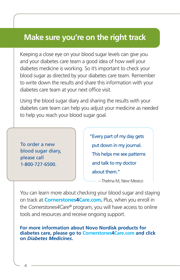## **Make sure you're on the right track**

Keeping a close eye on your blood sugar levels can give you and your diabetes care team a good idea of how well your diabetes medicine is working. So it's important to check your blood sugar as directed by your diabetes care team. Remember to write down the results and share this information with your diabetes care team at your next office visit.

Using the blood sugar diary and sharing the results with your diabetes care team can help you adjust your medicine as needed to help you reach your blood sugar goal.

To order a new blood sugar diary, please call 1-800-727-6500.

" Every part of my day gets put down in my journal. This helps me see patterns and talk to my doctor about them."

– Thelma M, New Mexico

You can learn more about checking your blood sugar and staying on track at **Cornerstones4Care.com.** Plus, when you enroll in the *Cornerstones4Care*® program, you will have access to online tools and resources and receive ongoing support.

**For more information about Novo Nordisk products for diabetes care, please go to Cornerstones4Care.com and click on** *Diabetes Medicines***.**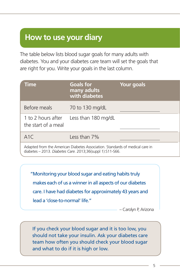## **How to use your diary**

The table below lists blood sugar goals for many adults with diabetes. You and your diabetes care team will set the goals that are right for you. Write your goals in the last column.

| <b>Time</b>                                                                                                                               | <b>Goals for</b><br>many adults<br>with diabetes | <b>Your goals</b> |  |  |  |
|-------------------------------------------------------------------------------------------------------------------------------------------|--------------------------------------------------|-------------------|--|--|--|
| Before meals                                                                                                                              | 70 to 130 mg/dL                                  |                   |  |  |  |
| 1 to 2 hours after<br>the start of a meal                                                                                                 | Less than 180 mg/dL                              |                   |  |  |  |
| A1C                                                                                                                                       | Less than 7%                                     |                   |  |  |  |
| Adapted from the American Diabetes Association. Standards of medical care in<br>diabetes – 2013. Diabetes Care. 2013:36(suppl 1):S11-S66. |                                                  |                   |  |  |  |

" Monitoring your blood sugar and eating habits truly makes each of us a winner in all aspects of our diabetes care. I have had diabetes for approximately 43 years and lead a 'close-to-normal' life."

– Carolyn P, Arizona

If you check your blood sugar and it is too low, you should not take your insulin. Ask your diabetes care team how often you should check your blood sugar and what to do if it is high or low.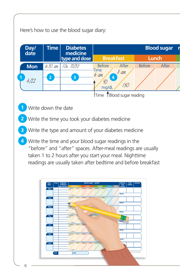#### Here's how to use the blood sugar diary:



Time 1Blood sugar reading

- **1** Write down the date
- **2** Write the time you took your diabetes medicine
- **3** Write the type and amount of your diabetes medicine
- **4** Write the time and your blood sugar readings in the "before" and "after" spaces. After-meal readings are usually taken 1 to 2 hours after you start your meal. Nighttime readings are usually taken after bedtime and before breakfast

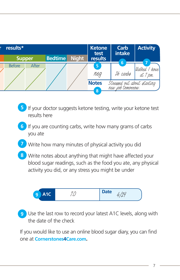| results*      |       | <b>Ketone</b><br>test | Carb<br><b>intake</b> | <b>Activity</b>                                                       |          |                           |
|---------------|-------|-----------------------|-----------------------|-----------------------------------------------------------------------|----------|---------------------------|
| <b>Supper</b> |       | <b>Bedtime</b>        | <b>Night</b>          | results                                                               | lб.      |                           |
| <b>Before</b> | After |                       |                       | 5 <sup>1</sup><br>neg                                                 | 26 carba | Walked / hour<br>at 7 pm. |
|               |       |                       |                       | <b>Notes</b><br>Streesed out about starting<br>new job tomonnow.<br>8 |          |                           |

- **5** If your doctor suggests ketone testing, write your ketone test results here
- **6** If you are counting carbs, write how many grams of carbs you ate
- Write how many minutes of physical activity you did **7**
- Write notes about anything that might have affected your **8** blood sugar readings, such as the food you ate, any physical activity you did, or any stress you might be under



 Use the last row to record your latest A1C levels, along with **9** the date of the check

If you would like to use an online blood sugar diary, you can find one at **Cornerstones4Care.com.**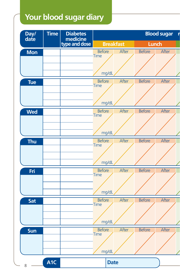# **Your blood sugar diary**

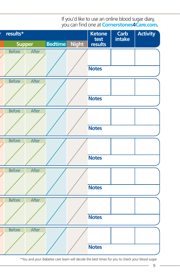

If you'd like to use an online blood sugar diary, you can find one at **Cornerstones4Care.com.** 

\* You and your diabetes care team will decide the best times for you to check your blood sugar.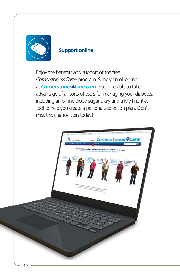

#### **Support online**

Enjoy the benefits and support of the free *Cornerstones4Care®* program. Simply enroll online at **Cornerstones4Care.com.** You'll be able to take advantage of all sorts of tools for managing your diabetes, including an online blood sugar diary and a My Priorities tool to help you create a personalized action plan. Don't miss this chance. Join today!

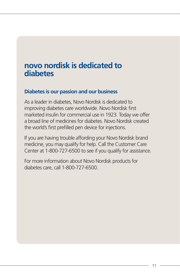## **novo nordisk is dedicated to diabetes**

#### **Diabetes is our passion and our business**

As a leader in diabetes, Novo Nordisk is dedicated to improving diabetes care worldwide. Novo Nordisk first marketed insulin for commercial use in 1923. Today we offer a broad line of medicines for diabetes. Novo Nordisk created the world's first prefilled pen device for injections.

If you are having trouble affording your Novo Nordisk brand medicine, you may qualify for help. Call the Customer Care Center at 1-800-727-6500 to see if you qualify for assistance.

For more information about Novo Nordisk products for diabetes care, call 1-800-727-6500.